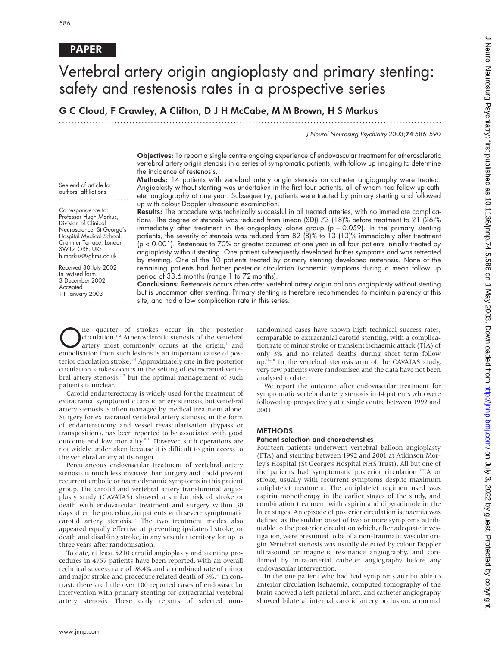# PAPER

# Vertebral artery origin angioplasty and primary stenting: safety and restenosis rates in a prospective series

G C Cloud, F Crawley, A Clifton,DJH McCabe, M M Brown, H S Markus

.............................................................................................................................

J Neurol Neurosurg Psychiatry 2003;74:586–590

Objectives: To report a single centre ongoing experience of endovascular treatment for atherosclerotic vertebral artery origin stenosis in a series of symptomatic patients, with follow up imaging to determine the incidence of restenosis.

Methods: 14 patients with vertebral artery origin stenosis on catheter angiography were treated. Angioplasty without stenting was undertaken in the first four patients, all of whom had follow up catheter angiography at one year. Subsequently, patients were treated by primary stenting and followed up with colour Doppler ultrasound examination.

Results: The procedure was technically successful in all treated arteries, with no immediate complications. The degree of stenosis was reduced from (mean (SD)) 73 (18)% before treatment to 21 (26)% immediately after treatment in the angioplasty alone group (p = 0.059). In the primary stenting patients, the severity of stenosis was reduced from 82 (8)% to 13 (13)% immediately after treatment (p < 0.001). Restenosis to 70% or greater occurred at one year in all four patients initially treated by angioplasty without stenting. One patient subsequently developed further symptoms and was retreated by stenting. One of the 10 patients treated by primary stenting developed restenosis. None of the remaining patients had further posterior circulation ischaemic symptoms during a mean follow up period of 33.6 months (range 1 to 72 months).

**Conclusions:** Restenosis occurs often after vertebral artery origin balloon angioplasty without stenting but is uncommon after stenting. Primary stenting is therefore recommended to maintain patency at this site, and had a low complication rate in this series.

**ORE SERVING CONE CONFIDENT CONCRETE CONFIDENT** artery most commonly occurs at the origin,<sup>3</sup> and embolisation from such lesions is an important cause of noscirculation.<sup>12</sup> Atherosclerotic stenosis of the vertebral embolisation from such lesions is an important cause of posterior circulation stroke.<sup>4-6</sup> Approximately one in five posterior circulation strokes occurs in the setting of extracranial vertebral artery stenosis, $47$  but the optimal management of such patients is unclear.

Carotid endarterectomy is widely used for the treatment of extracranial symptomatic carotid artery stenosis, but vertebral artery stenosis is often managed by medical treatment alone. Surgery for extracranial vertebral artery stenosis, in the form of endarterectomy and vessel revascularisation (bypass or transposition), has been reported to be associated with good outcome and low mortality.<sup>8-11</sup> However, such operations are not widely undertaken because it is difficult to gain access to the vertebral artery at its origin.

Percutaneous endovascular treatment of vertebral artery stenosis is much less invasive than surgery and could prevent recurrent embolic or haemodynamic symptoms in this patient group. The carotid and vertebral artery transluminal angioplasty study (CAVATAS) showed a similar risk of stroke or death with endovascular treatment and surgery within 30 days after the procedure, in patients with severe symptomatic carotid artery stenosis.<sup>12</sup> The two treatment modes also appeared equally effective at preventing ipsilateral stroke, or death and disabling stroke, in any vascular territory for up to three years after randomisation.

To date, at least 5210 carotid angioplasty and stenting procedures in 4757 patients have been reported, with an overall technical success rate of 98.4% and a combined rate of minor and major stroke and procedure related death of 5%.<sup>13</sup> In contrast, there are little over 100 reported cases of endovascular intervention with primary stenting for extracranial vertebral artery stenosis. These early reports of selected nonrandomised cases have shown high technical success rates, comparable to extracranial carotid stenting, with a complication rate of minor stroke or transient ischaemic attack (TIA) of only 3% and no related deaths during short term follow up.14–18 In the vertebral stenosis arm of the CAVATAS study, very few patients were randomised and the data have not been analysed to date.

We report the outcome after endovascular treatment for symptomatic vertebral artery stenosis in 14 patients who were followed up prospectively at a single centre between 1992 and 2001.

# **METHODS**

#### Patient selection and characteristics

Fourteen patients underwent vertebral balloon angioplasty (PTA) and stenting between 1992 and 2001 at Atkinson Morley's Hospital (St George's Hospital NHS Trust). All but one of the patients had symptomatic posterior circulation TIA or stroke, usually with recurrent symptoms despite maximum antiplatelet treatment. The antiplatelet regimen used was aspirin monotherapy in the earlier stages of the study, and combination treatment with aspirin and dipyradimole in the later stages. An episode of posterior circulation ischaemia was defined as the sudden onset of two or more symptoms attributable to the posterior circulation which, after adequate investigation, were presumed to be of a non-traumatic vascular origin. Vertebral stenosis was usually detected by colour Doppler ultrasound or magnetic resonance angiography, and confirmed by intra-arterial catheter angiography before any endovascular intervention.

In the one patient who had had symptoms attributable to anterior circulation ischaemia, computed tomography of the brain showed a left parietal infarct, and catheter angiography showed bilateral internal carotid artery occlusion, a normal

Professor Hugh Markus, Neuroscience, St George's Hospital Medical School, Cranmer Terrace, London

SW17 ORE, UK; h.markus@sghms.ac.uk Received 30 July 2002 In revised form

See end of article for authors' affiliations ....................... Correspondence to:

Division of Clinical

3 December 2002 Accepted 11 January 2003

.......................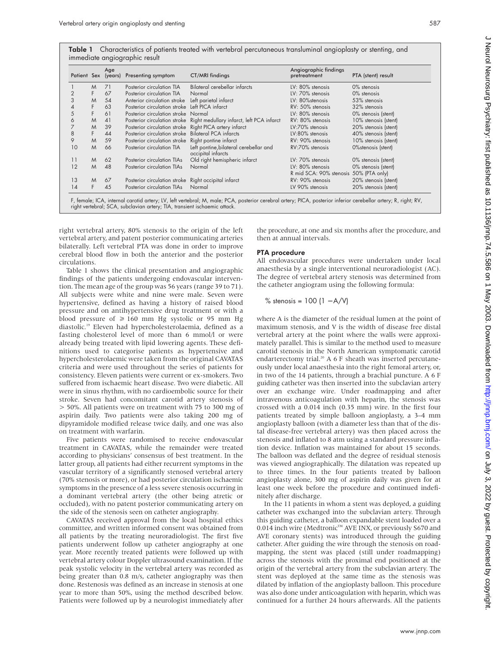Table 1 Characteristics of patients treated with vertebral percutaneous transluminal angioplasty or stenting, and immediate angiographic result

|    |    | Age<br>Patient Sex (years) | Presenting symptom                                     | CT/MRI findings                                                        | Angiographic findings<br>pretreatment | PTA (stent) result   |
|----|----|----------------------------|--------------------------------------------------------|------------------------------------------------------------------------|---------------------------------------|----------------------|
|    | M  | 71                         | Posterior circulation TIA                              | Bilateral cerebellar infarcts                                          | $LV: 80\%$ stenosis                   | $0\%$ stenosis       |
|    | F  | 67                         | Posterior circulation TIA                              | Normal                                                                 | $LV: 70\%$ stenosis                   | 0% stenosis          |
| 3  | M  | 54                         | Anterior circulation stroke Left parietal infarct      |                                                                        | $LV: 80\%$ stenosis                   | 53% stenosis         |
|    |    | 63                         | Posterior circulation stroke Left PICA infarct         |                                                                        | $RV: 50\%$ stenosis                   | 32% stenosis         |
| 5  |    | 61                         | Posterior circulation stroke Normal                    |                                                                        | $LV: 80\%$ stenosis                   | 0% stenosis (stent)  |
| 6  | M  | 41                         |                                                        | Posterior circulation stroke Right medullary infarct, left PCA infarct | RV: 80% stenosis                      | 10% stenosis (stent) |
|    | M  | 39                         | Posterior circulation stroke Right PICA artery infarct |                                                                        | LV:70% stenosis                       | 20% stenosis (stent) |
| 8  |    | 44                         | Posterior circulation stroke Bilateral PCA infarcts    |                                                                        | LV:80% stenosis                       | 40% stenosis (stent) |
| 9  | M  | 59                         | Posterior circulation stroke Right pontine infarct     |                                                                        | RV: 90% stenosis                      | 10% stenosis (stent) |
| 10 | M  | 66                         | Posterior circulation TIA                              | Left pontine, bilateral cerebellar and<br>occipital infarcts           | RV:70% stenosis                       | O%stenosis (stent)   |
| 11 | M  | 62                         | Posterior circulation TIAs                             | Old right hemispheric infarct                                          | LV: 70% stenosis                      | 0% stenosis (stent)  |
| 12 | M  | 48                         | Posterior circulation TIAs                             | Normal                                                                 | LV: 80% stenosis                      | 0% stenosis (stent)  |
|    |    |                            |                                                        |                                                                        | R mid SCA: 90% stenosis               | 50% (PTA only)       |
| 13 | M  | 67                         | Posterior circulation stroke Right occipital infarct   |                                                                        | $RV: 90\%$ stenosis                   | 20% stenosis (stent) |
| 14 | F. | 45                         | Posterior circulation TIAs                             | Normal                                                                 | LV 90% stenosis                       | 20% stenosis (stent) |

F, female; ICA, internal carotid artery; LV, left vertebral; M, male; PCA, posterior cerebral artery; PICA, posterior inferior cerebellar artery; R, right; RV, right vertebral; SCA, subclavian artery; TIA, transient ischaemic attack.

right vertebral artery, 80% stenosis to the origin of the left vertebral artery, and patent posterior communicating arteries bilaterally. Left vertebral PTA was done in order to improve cerebral blood flow in both the anterior and the posterior circulations.

Table 1 shows the clinical presentation and angiographic findings of the patients undergoing endovascular intervention. The mean age of the group was 56 years (range 39 to 71). All subjects were white and nine were male. Seven were hypertensive, defined as having a history of raised blood pressure and on antihypertensive drug treatment or with a blood pressure of  $\geq$  160 mm Hg systolic or 95 mm Hg diastolic.19 Eleven had hypercholesterolaemia, defined as a fasting cholesterol level of more than 6 mmol/l or were already being treated with lipid lowering agents. These definitions used to categorise patients as hypertensive and hypercholesterolaemic were taken from the original CAVATAS criteria and were used throughout the series of patients for consistency. Eleven patients were current or ex-smokers. Two suffered from ischaemic heart disease. Two were diabetic. All were in sinus rhythm, with no cardioembolic source for their stroke. Seven had concomitant carotid artery stenosis of > 50%. All patients were on treatment with 75 to 300 mg of aspirin daily. Two patients were also taking 200 mg of dipyramidole modified release twice daily, and one was also on treatment with warfarin.

Five patients were randomised to receive endovascular treatment in CAVATAS, while the remainder were treated according to physicians' consensus of best treatment. In the latter group, all patients had either recurrent symptoms in the vascular territory of a significantly stenosed vertebral artery (70% stenosis or more), or had posterior circulation ischaemic symptoms in the presence of a less severe stenosis occurring in a dominant vertebral artery (the other being atretic or occluded), with no patent posterior communicating artery on the side of the stenosis seen on catheter angiography.

CAVATAS received approval from the local hospital ethics committee, and written informed consent was obtained from all patients by the treating neuroradiologist. The first five patients underwent follow up catheter angiography at one year. More recently treated patients were followed up with vertebral artery colour Doppler ultrasound examination. If the peak systolic velocity in the vertebral artery was recorded as being greater than 0.8 m/s, catheter angiography was then done. Restenosis was defined as an increase in stenosis at one year to more than 50%, using the method described below. Patients were followed up by a neurologist immediately after

the procedure, at one and six months after the procedure, and then at annual intervals.

# PTA procedure

All endovascular procedures were undertaken under local anaesthesia by a single interventional neuroradiologist (AC). The degree of vertebral artery stenosis was determined from the catheter angiogram using the following formula:

% stenosis = 100 (1 − A/V)

where A is the diameter of the residual lumen at the point of maximum stenosis, and V is the width of disease free distal vertebral artery at the point where the walls were approximately parallel. This is similar to the method used to measure carotid stenosis in the North American symptomatic carotid endarterectomy trial.<sup>20</sup> A 6 F sheath was inserted percutaneously under local anaesthesia into the right femoral artery, or, in two of the 14 patients, through a brachial puncture. A 6 F guiding catheter was then inserted into the subclavian artery over an exchange wire. Under roadmapping and after intravenous anticoagulation with heparin, the stenosis was crossed with a 0.014 inch (0.35 mm) wire. In the first four patients treated by simple balloon angioplasty, a 3–4 mm angioplasty balloon (with a diameter less than that of the distal disease-free vertebral artery) was then placed across the stenosis and inflated to 8 atm using a standard pressure inflation device. Inflation was maintained for about 15 seconds. The balloon was deflated and the degree of residual stenosis was viewed angiographically. The dilatation was repeated up to three times. In the four patients treated by balloon angioplasty alone, 300 mg of aspirin daily was given for at least one week before the procedure and continued indefinitely after discharge.

In the 11 patients in whom a stent was deployed, a guiding catheter was exchanged into the subclavian artery. Through this guiding catheter, a balloon expandable stent loaded over a  $0.014$  inch wire (Medtronic<sup>TM</sup> AVE INX, or previously S670 and AVE coronary stents) was introduced through the guiding catheter. After guiding the wire through the stenosis on roadmapping, the stent was placed (still under roadmapping) across the stenosis with the proximal end positioned at the origin of the vertebral artery from the subclavian artery. The stent was deployed at the same time as the stenosis was dilated by inflation of the angioplasty balloon. This procedure was also done under anticoagulation with heparin, which was continued for a further 24 hours afterwards. All the patients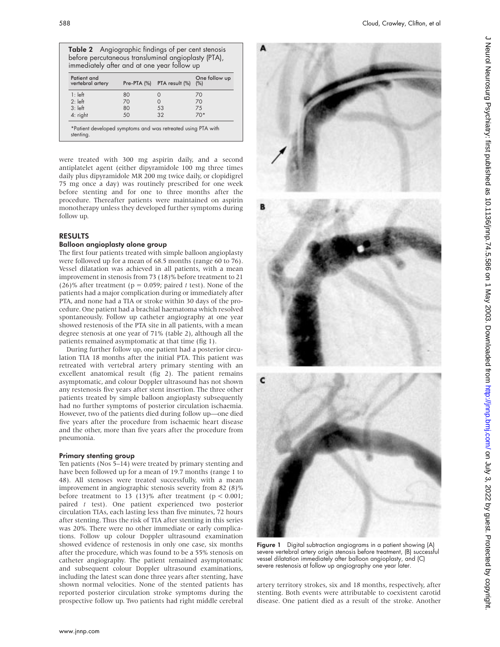| Table 2 Angiographic findings of per cent stenosis<br>before percutaneous transluminal angioplasty (PTA),<br>immediately after and at one year follow up |               |                |                       |  |  |  |  |
|----------------------------------------------------------------------------------------------------------------------------------------------------------|---------------|----------------|-----------------------|--|--|--|--|
| Patient and<br>vertebral artery                                                                                                                          | $Pre-PTA (%)$ | PTA result (%) | One follow up<br>(% ) |  |  |  |  |
| $1:$ left                                                                                                                                                | 80            |                | 70                    |  |  |  |  |
| $2:$ left                                                                                                                                                | 70            | $\Omega$       | 70                    |  |  |  |  |
| $3:$ left                                                                                                                                                | 80            | 53             | 75                    |  |  |  |  |
| 4: right                                                                                                                                                 | 50            | 32             | $70*$                 |  |  |  |  |

were treated with 300 mg aspirin daily, and a second antiplatelet agent (either dipyramidole 100 mg three times daily plus dipyramidole MR 200 mg twice daily, or clopidigrel 75 mg once a day) was routinely prescribed for one week before stenting and for one to three months after the procedure. Thereafter patients were maintained on aspirin monotherapy unless they developed further symptoms during follow up.

# RESULTS

### Balloon angioplasty alone group

The first four patients treated with simple balloon angioplasty were followed up for a mean of 68.5 months (range 60 to 76). Vessel dilatation was achieved in all patients, with a mean improvement in stenosis from 73 (18)% before treatment to 21 (26)% after treatment ( $p = 0.059$ ; paired *t* test). None of the patients had a major complication during or immediately after PTA, and none had a TIA or stroke within 30 days of the procedure. One patient had a brachial haematoma which resolved spontaneously. Follow up catheter angiography at one year showed restenosis of the PTA site in all patients, with a mean degree stenosis at one year of 71% (table 2), although all the patients remained asymptomatic at that time (fig 1).

During further follow up, one patient had a posterior circulation TIA 18 months after the initial PTA. This patient was retreated with vertebral artery primary stenting with an excellent anatomical result (fig 2). The patient remains asymptomatic, and colour Doppler ultrasound has not shown any restenosis five years after stent insertion. The three other patients treated by simple balloon angioplasty subsequently had no further symptoms of posterior circulation ischaemia. However, two of the patients died during follow up—one died five years after the procedure from ischaemic heart disease and the other, more than five years after the procedure from pneumonia.

#### Primary stenting group

Ten patients (Nos 5–14) were treated by primary stenting and have been followed up for a mean of 19.7 months (range 1 to 48). All stenoses were treated successfully, with a mean improvement in angiographic stenosis severity from 82 (8)% before treatment to 13 (13)% after treatment ( $p < 0.001$ ; paired *t* test). One patient experienced two posterior circulation TIAs, each lasting less than five minutes, 72 hours after stenting. Thus the risk of TIA after stenting in this series was 20%. There were no other immediate or early complications. Follow up colour Doppler ultrasound examination showed evidence of restenosis in only one case, six months after the procedure, which was found to be a 55% stenosis on catheter angiography. The patient remained asymptomatic and subsequent colour Doppler ultrasound examinations, including the latest scan done three years after stenting, have shown normal velocities. None of the stented patients has reported posterior circulation stroke symptoms during the prospective follow up. Two patients had right middle cerebral



Figure 1 Digital subtraction angiograms in a patient showing (A) severe vertebral artery origin stenosis before treatment, (B) successful vessel dilatation immediately after balloon angioplasty, and (C) severe restenosis at follow up angiography one year later.

artery territory strokes, six and 18 months, respectively, after stenting. Both events were attributable to coexistent carotid disease. One patient died as a result of the stroke. Another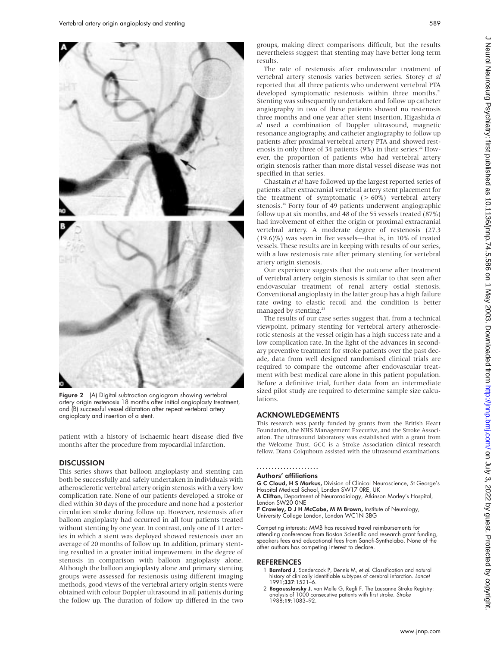

results.



artery origin restenosis 18 months after initial angioplasty treatment, and (B) successful vessel dilatation after repeat vertebral artery angioplasty and insertion of a stent.

patient with a history of ischaemic heart disease died five months after the procedure from myocardial infarction.

# **DISCUSSION**

This series shows that balloon angioplasty and stenting can both be successfully and safely undertaken in individuals with atherosclerotic vertebral artery origin stenosis with a very low complication rate. None of our patients developed a stroke or died within 30 days of the procedure and none had a posterior circulation stroke during follow up. However, restenosis after balloon angioplasty had occurred in all four patients treated without stenting by one year. In contrast, only one of 11 arteries in which a stent was deployed showed restenosis over an average of 20 months of follow up. In addition, primary stenting resulted in a greater initial improvement in the degree of stenosis in comparison with balloon angioplasty alone. Although the balloon angioplasty alone and primary stenting groups were assessed for restenosis using different imaging methods, good views of the vertebral artery origin stents were obtained with colour Doppler ultrasound in all patients during the follow up. The duration of follow up differed in the two

groups, making direct comparisons difficult, but the results nevertheless suggest that stenting may have better long term

The rate of restenosis after endovascular treatment of vertebral artery stenosis varies between series. Storey *et al* reported that all three patients who underwent vertebral PTA developed symptomatic restenosis within three months.<sup>21</sup> Stenting was subsequently undertaken and follow up catheter angiography in two of these patients showed no restenosis three months and one year after stent insertion. Higashida *et al* used a combination of Doppler ultrasound, magnetic resonance angiography, and catheter angiography to follow up patients after proximal vertebral artery PTA and showed restenosis in only three of 34 patients (9%) in their series.<sup>22</sup> However, the proportion of patients who had vertebral artery origin stenosis rather than more distal vessel disease was not specified in that series.

Chastain *et al* have followed up the largest reported series of patients after extracranial vertebral artery stent placement for the treatment of symptomatic  $(>60%)$  vertebral artery stenosis.<sup>14</sup> Forty four of 49 patients underwent angiographic follow up at six months, and 48 of the 55 vessels treated (87%) had involvement of either the origin or proximal extracranial vertebral artery. A moderate degree of restenosis (27.3 (19.6)%) was seen in five vessels—that is, in 10% of treated vessels. These results are in keeping with results of our series, with a low restenosis rate after primary stenting for vertebral artery origin stenosis.

Our experience suggests that the outcome after treatment of vertebral artery origin stenosis is similar to that seen after endovascular treatment of renal artery ostial stenosis. Conventional angioplasty in the latter group has a high failure rate owing to elastic recoil and the condition is better managed by stenting.<sup>23</sup>

The results of our case series suggest that, from a technical viewpoint, primary stenting for vertebral artery atherosclerotic stenosis at the vessel origin has a high success rate and a low complication rate. In the light of the advances in secondary preventive treatment for stroke patients over the past decade, data from well designed randomised clinical trials are required to compare the outcome after endovascular treatment with best medical care alone in this patient population. Before a definitive trial, further data from an intermediate sized pilot study are required to determine sample size calculations.

# ACKNOWLEDGEMENTS

This research was partly funded by grants from the British Heart Foundation, the NHS Management Executive, and the Stroke Association. The ultrasound laboratory was established with a grant from the Welcome Trust. GCC is a Stroke Association clinical research fellow. Diana Colquhoun assisted with the ultrasound examinations.

#### ..................... Authors' affiliations

G C Cloud, H S Markus, Division of Clinical Neuroscience, St George's Hospital Medical School, London SW17 0RE, UK

A Clifton, Department of Neuroradiology, Atkinson Morley's Hospital, London SW20 0NE

**F Crawley, D J H McCabe, M M Brown,** Institute of Neurology,<br>University College London, London WC1N 3BG

Competing interests: MMB has received travel reimbursements for attending conferences from Boston Scientific and research grant funding, speakers fees and educational fees from Sanofi-Synthelabo. None of the other authors has competing interest to declare.

#### REFERENCES

- Bamford J, Sandercock P, Dennis M, et al. Classification and natural history of clinically identifiable subtypes of cerebral infarction. Lancet 1991;337:1521–6.
- 2 Bogousslavsky J, van Melle G, Regli F. The Lausanne Stroke Registry: analysis of 1000 consecutive patients with first stroke. Stroke 1988;19:1083–92.